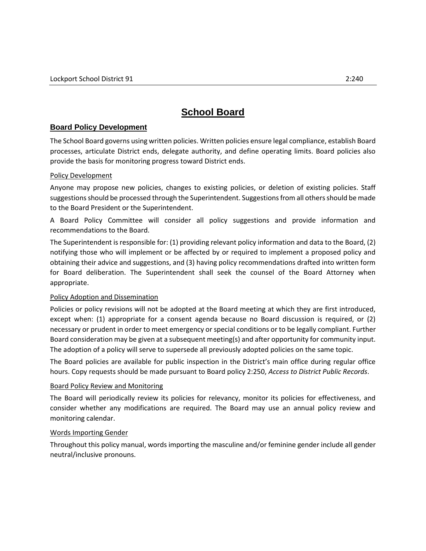# **School Board**

## **Board Policy Development**

The School Board governs using written policies. Written policies ensure legal compliance, establish Board processes, articulate District ends, delegate authority, and define operating limits. Board policies also provide the basis for monitoring progress toward District ends.

### Policy Development

Anyone may propose new policies, changes to existing policies, or deletion of existing policies. Staff suggestions should be processed through the Superintendent. Suggestions from all others should be made to the Board President or the Superintendent.

A Board Policy Committee will consider all policy suggestions and provide information and recommendations to the Board.

The Superintendent is responsible for: (1) providing relevant policy information and data to the Board, (2) notifying those who will implement or be affected by or required to implement a proposed policy and obtaining their advice and suggestions, and (3) having policy recommendations drafted into written form for Board deliberation. The Superintendent shall seek the counsel of the Board Attorney when appropriate.

#### Policy Adoption and Dissemination

Policies or policy revisions will not be adopted at the Board meeting at which they are first introduced, except when: (1) appropriate for a consent agenda because no Board discussion is required, or (2) necessary or prudent in order to meet emergency or special conditions or to be legally compliant. Further Board consideration may be given at a subsequent meeting(s) and after opportunity for community input. The adoption of a policy will serve to supersede all previously adopted policies on the same topic.

The Board policies are available for public inspection in the District's main office during regular office hours. Copy requests should be made pursuant to Board policy 2:250, *Access to District Public Records*.

#### Board Policy Review and Monitoring

The Board will periodically review its policies for relevancy, monitor its policies for effectiveness, and consider whether any modifications are required. The Board may use an annual policy review and monitoring calendar.

#### Words Importing Gender

Throughout this policy manual, words importing the masculine and/or feminine gender include all gender neutral/inclusive pronouns.